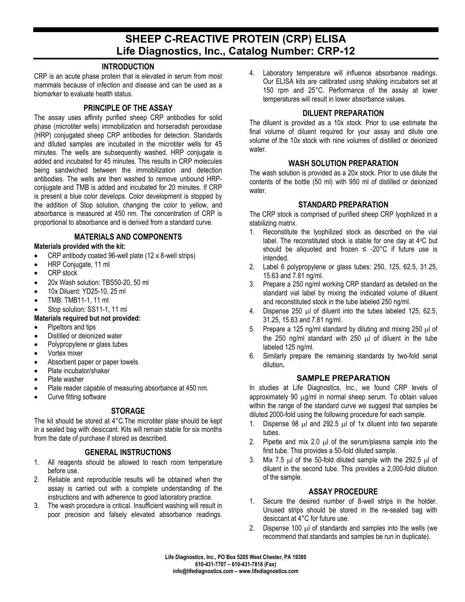# **SHEEP C-REACTIVE PROTEIN (CRP) ELISA Life Diagnostics, Inc., Catalog Number: CRP-12**

## **INTRODUCTION**

CRP is an acute phase protein that is elevated in serum from most mammals because of infection and disease and can be used as a biomarker to evaluate health status.

## **PRINCIPLE OF THE ASSAY**

The assay uses affinity purified sheep CRP antibodies for solid phase (microtiter wells) immobilization and horseradish peroxidase (HRP) conjugated sheep CRP antibodies for detection. Standards and diluted samples are incubated in the microtiter wells for 45 minutes. The wells are subsequently washed. HRP conjugate is added and incubated for 45 minutes. This results in CRP molecules being sandwiched between the immobilization and detection antibodies. The wells are then washed to remove unbound HRPconjugate and TMB is added and incubated for 20 minutes. If CRP is present a blue color develops. Color development is stopped by the addition of Stop solution, changing the color to yellow, and absorbance is measured at 450 nm. The concentration of CRP is proportional to absorbance and is derived from a standard curve.

## **MATERIALS AND COMPONENTS**

#### **Materials provided with the kit:**

- CRP antibody coated 96-well plate (12 x 8-well strips)
- HRP Conjugate, 11 ml
- CRP stock
- 20x Wash solution: TBS50-20, 50 ml
- 10x Diluent: YD25-10, 25 ml
- TMB: TMB11-1, 11 ml
- Stop solution: SS11-1, 11 ml

## **Materials required but not provided:**

- Pipettors and tips
- Distilled or deionized water
- Polypropylene or glass tubes
- Vortex mixer
- Absorbent paper or paper towels
- Plate incubator/shaker
- Plate washer
- Plate reader capable of measuring absorbance at 450 nm.
- Curve fitting software

## **STORAGE**

The kit should be stored at 4°C.The microtiter plate should be kept in a sealed bag with desiccant. Kits will remain stable for six months from the date of purchase if stored as described.

## **GENERAL INSTRUCTIONS**

- 1. All reagents should be allowed to reach room temperature before use.
- 2. Reliable and reproducible results will be obtained when the assay is carried out with a complete understanding of the instructions and with adherence to good laboratory practice.
- 3. The wash procedure is critical. Insufficient washing will result in poor precision and falsely elevated absorbance readings.

4. Laboratory temperature will influence absorbance readings. Our ELISA kits are calibrated using shaking incubators set at 150 rpm and 25°C. Performance of the assay at lower temperatures will result in lower absorbance values.

## **DILUENT PREPARATION**

The diluent is provided as a 10x stock. Prior to use estimate the final volume of diluent required for your assay and dilute one volume of the 10x stock with nine volumes of distilled or deionized water.

## **WASH SOLUTION PREPARATION**

The wash solution is provided as a 20x stock. Prior to use dilute the contents of the bottle (50 ml) with 950 ml of distilled or deionized water.

## **STANDARD PREPARATION**

The CRP stock is comprised of purified sheep CRP lyophilized in a stabilizing matrix.

- 1. Reconstitute the lyophilized stock as described on the vial label. The reconstituted stock is stable for one day at 4oC but should be aliquoted and frozen  $\leq$  -20°C if future use is intended.
- 2. Label 6 polypropylene or glass tubes: 250, 125, 62.5, 31.25, 15.63 and 7.81 ng/ml.
- 3. Prepare a 250 ng/ml working CRP standard as detailed on the standard vial label by mixing the indicated volume of diluent and reconstituted stock in the tube labeled 250 ng/ml.
- 4. Dispense 250 µl of diluent into the tubes labeled 125, 62.5, 31.25, 15.63 and 7.81 ng/ml.
- 5. Prepare a 125 ng/ml standard by diluting and mixing 250  $\mu$ l of the 250 ng/ml standard with 250 µl of diluent in the tube labeled 125 ng/ml.
- 6. Similarly prepare the remaining standards by two-fold serial dilution*.*

## **SAMPLE PREPARATION**

In studies at Life Diagnostics, Inc., we found CRP levels of approximately 90  $\mu$ g/ml in normal sheep serum. To obtain values within the range of the standard curve we suggest that samples be diluted 2000-fold using the following procedure for each sample.

- 1. Dispense 98 µl and 292.5 µl of 1x diluent into two separate tubes.
- 2. Pipette and mix 2.0  $\mu$  of the serum/plasma sample into the first tube. This provides a 50-fold diluted sample.
- 3. Mix 7.5  $\mu$  of the 50-fold diluted sample with the 292.5  $\mu$  of diluent in the second tube. This provides a 2,000-fold dilution of the sample.

## **ASSAY PROCEDURE**

- 1. Secure the desired number of 8-well strips in the holder. Unused strips should be stored in the re-sealed bag with desiccant at 4°C for future use.
- 2. Dispense 100 µl of standards and samples into the wells (we recommend that standards and samples be run in duplicate).

**Life Diagnostics, Inc., PO Box 5205 West Chester, PA 19380 610-431-7707 – 610-431-7818 (Fax) info@lifediagnostics.com – www.lifediagnostics.com**